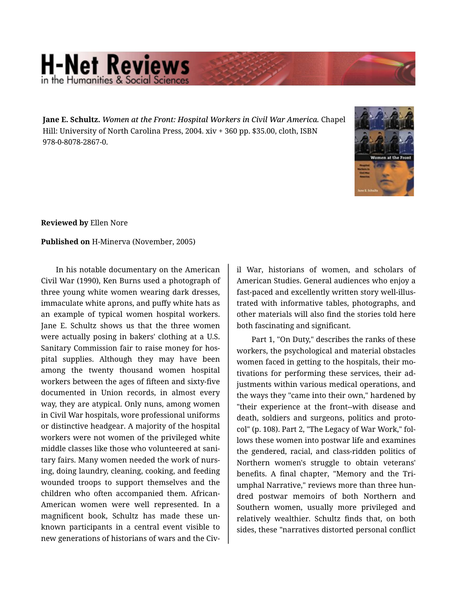## **H-Net Reviews** he Humanities & Social Scier

**Jane E. Schultz.** *Women at the Front: Hospital Workers in Civil War America.* Chapel Hill: University of North Carolina Press, 2004. xiv + 360 pp. \$35.00, cloth, ISBN 978-0-8078-2867-0.



**Reviewed by** Ellen Nore

**Published on** H-Minerva (November, 2005)

In his notable documentary on the American Civil War (1990), Ken Burns used a photograph of three young white women wearing dark dresses, immaculate white aprons, and puffy white hats as an example of typical women hospital workers. Jane E. Schultz shows us that the three women were actually posing in bakers' clothing at a U.S. Sanitary Commission fair to raise money for hos‐ pital supplies. Although they may have been among the twenty thousand women hospital workers between the ages of fifteen and sixty-five documented in Union records, in almost every way, they are atypical. Only nuns, among women in Civil War hospitals, wore professional uniforms or distinctive headgear. A majority of the hospital workers were not women of the privileged white middle classes like those who volunteered at sani‐ tary fairs. Many women needed the work of nurs‐ ing, doing laundry, cleaning, cooking, and feeding wounded troops to support themselves and the children who often accompanied them. African-American women were well represented. In a magnificent book, Schultz has made these un‐ known participants in a central event visible to new generations of historians of wars and the Civ‐

il War, historians of women, and scholars of American Studies. General audiences who enjoy a fast-paced and excellently written story well-illus‐ trated with informative tables, photographs, and other materials will also find the stories told here both fascinating and significant.

Part 1, "On Duty," describes the ranks of these workers, the psychological and material obstacles women faced in getting to the hospitals, their mo‐ tivations for performing these services, their ad‐ justments within various medical operations, and the ways they "came into their own," hardened by "their experience at the front--with disease and death, soldiers and surgeons, politics and proto‐ col" (p. 108). Part 2, "The Legacy of War Work," fol‐ lows these women into postwar life and examines the gendered, racial, and class-ridden politics of Northern women's struggle to obtain veterans' benefits. A final chapter, "Memory and the Tri‐ umphal Narrative," reviews more than three hun‐ dred postwar memoirs of both Northern and Southern women, usually more privileged and relatively wealthier. Schultz finds that, on both sides, these "narratives distorted personal conflict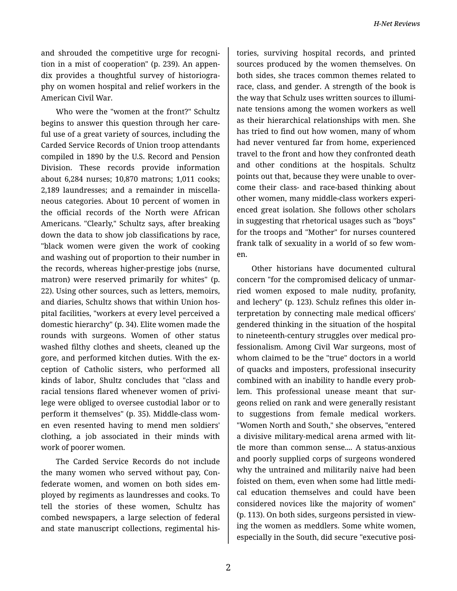and shrouded the competitive urge for recogni‐ tion in a mist of cooperation" (p. 239). An appen‐ dix provides a thoughtful survey of historiogra‐ phy on women hospital and relief workers in the American Civil War.

Who were the "women at the front?" Schultz begins to answer this question through her care‐ ful use of a great variety of sources, including the Carded Service Records of Union troop attendants compiled in 1890 by the U.S. Record and Pension Division. These records provide information about 6,284 nurses; 10,870 matrons; 1,011 cooks; 2,189 laundresses; and a remainder in miscella‐ neous categories. About 10 percent of women in the official records of the North were African Americans. "Clearly," Schultz says, after breaking down the data to show job classifications by race, "black women were given the work of cooking and washing out of proportion to their number in the records, whereas higher-prestige jobs (nurse, matron) were reserved primarily for whites" (p. 22). Using other sources, such as letters, memoirs, and diaries, Schultz shows that within Union hos‐ pital facilities, "workers at every level perceived a domestic hierarchy" (p. 34). Elite women made the rounds with surgeons. Women of other status washed filthy clothes and sheets, cleaned up the gore, and performed kitchen duties. With the ex‐ ception of Catholic sisters, who performed all kinds of labor, Shultz concludes that "class and racial tensions flared whenever women of privi‐ lege were obliged to oversee custodial labor or to perform it themselves" (p. 35). Middle-class wom‐ en even resented having to mend men soldiers' clothing, a job associated in their minds with work of poorer women.

The Carded Service Records do not include the many women who served without pay, Con‐ federate women, and women on both sides em‐ ployed by regiments as laundresses and cooks. To tell the stories of these women, Schultz has combed newspapers, a large selection of federal and state manuscript collections, regimental his‐

tories, surviving hospital records, and printed sources produced by the women themselves. On both sides, she traces common themes related to race, class, and gender. A strength of the book is the way that Schulz uses written sources to illumi‐ nate tensions among the women workers as well as their hierarchical relationships with men. She has tried to find out how women, many of whom had never ventured far from home, experienced travel to the front and how they confronted death and other conditions at the hospitals. Schultz points out that, because they were unable to over‐ come their class- and race-based thinking about other women, many middle-class workers experi‐ enced great isolation. She follows other scholars in suggesting that rhetorical usages such as "boys" for the troops and "Mother" for nurses countered frank talk of sexuality in a world of so few wom‐ en.

Other historians have documented cultural concern "for the compromised delicacy of unmar‐ ried women exposed to male nudity, profanity, and lechery" (p. 123). Schulz refines this older in‐ terpretation by connecting male medical officers' gendered thinking in the situation of the hospital to nineteenth-century struggles over medical pro‐ fessionalism. Among Civil War surgeons, most of whom claimed to be the "true" doctors in a world of quacks and imposters, professional insecurity combined with an inability to handle every prob‐ lem. This professional unease meant that sur‐ geons relied on rank and were generally resistant to suggestions from female medical workers. "Women North and South," she observes, "entered a divisive military-medical arena armed with lit‐ tle more than common sense.... A status-anxious and poorly supplied corps of surgeons wondered why the untrained and militarily naive had been foisted on them, even when some had little medi‐ cal education themselves and could have been considered novices like the majority of women" (p. 113). On both sides, surgeons persisted in view‐ ing the women as meddlers. Some white women, especially in the South, did secure "executive posi‐

2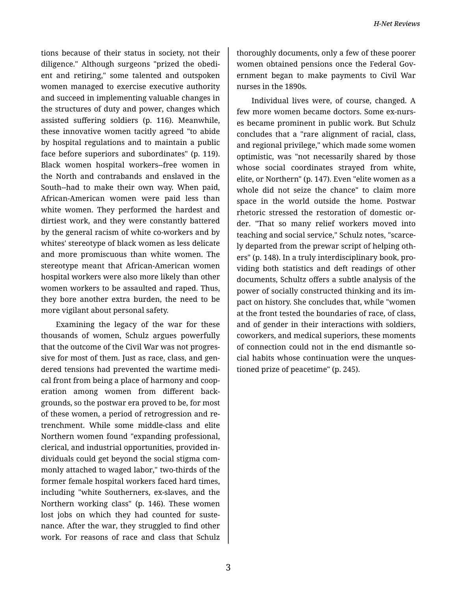tions because of their status in society, not their diligence." Although surgeons "prized the obedi‐ ent and retiring," some talented and outspoken women managed to exercise executive authority and succeed in implementing valuable changes in the structures of duty and power, changes which assisted suffering soldiers (p. 116). Meanwhile, these innovative women tacitly agreed "to abide by hospital regulations and to maintain a public face before superiors and subordinates" (p. 119). Black women hospital workers--free women in the North and contrabands and enslaved in the South--had to make their own way. When paid, African-American women were paid less than white women. They performed the hardest and dirtiest work, and they were constantly battered by the general racism of white co-workers and by whites' stereotype of black women as less delicate and more promiscuous than white women. The stereotype meant that African-American women hospital workers were also more likely than other women workers to be assaulted and raped. Thus, they bore another extra burden, the need to be more vigilant about personal safety.

Examining the legacy of the war for these thousands of women, Schulz argues powerfully that the outcome of the Civil War was not progres‐ sive for most of them. Just as race, class, and gen‐ dered tensions had prevented the wartime medi‐ cal front from being a place of harmony and coop‐ eration among women from different back‐ grounds, so the postwar era proved to be, for most of these women, a period of retrogression and re‐ trenchment. While some middle-class and elite Northern women found "expanding professional, clerical, and industrial opportunities, provided in‐ dividuals could get beyond the social stigma com‐ monly attached to waged labor," two-thirds of the former female hospital workers faced hard times, including "white Southerners, ex-slaves, and the Northern working class" (p. 146). These women lost jobs on which they had counted for suste‐ nance. After the war, they struggled to find other work. For reasons of race and class that Schulz

thoroughly documents, only a few of these poorer women obtained pensions once the Federal Government began to make payments to Civil War nurses in the 1890s.

Individual lives were, of course, changed. A few more women became doctors. Some ex-nurs‐ es became prominent in public work. But Schulz concludes that a "rare alignment of racial, class, and regional privilege," which made some women optimistic, was "not necessarily shared by those whose social coordinates strayed from white, elite, or Northern" (p. 147). Even "elite women as a whole did not seize the chance" to claim more space in the world outside the home. Postwar rhetoric stressed the restoration of domestic or‐ der. "That so many relief workers moved into teaching and social service," Schulz notes, "scarce‐ ly departed from the prewar script of helping oth‐ ers" (p. 148). In a truly interdisciplinary book, pro‐ viding both statistics and deft readings of other documents, Schultz offers a subtle analysis of the power of socially constructed thinking and its im‐ pact on history. She concludes that, while "women at the front tested the boundaries of race, of class, and of gender in their interactions with soldiers, coworkers, and medical superiors, these moments of connection could not in the end dismantle so‐ cial habits whose continuation were the unques‐ tioned prize of peacetime" (p. 245).